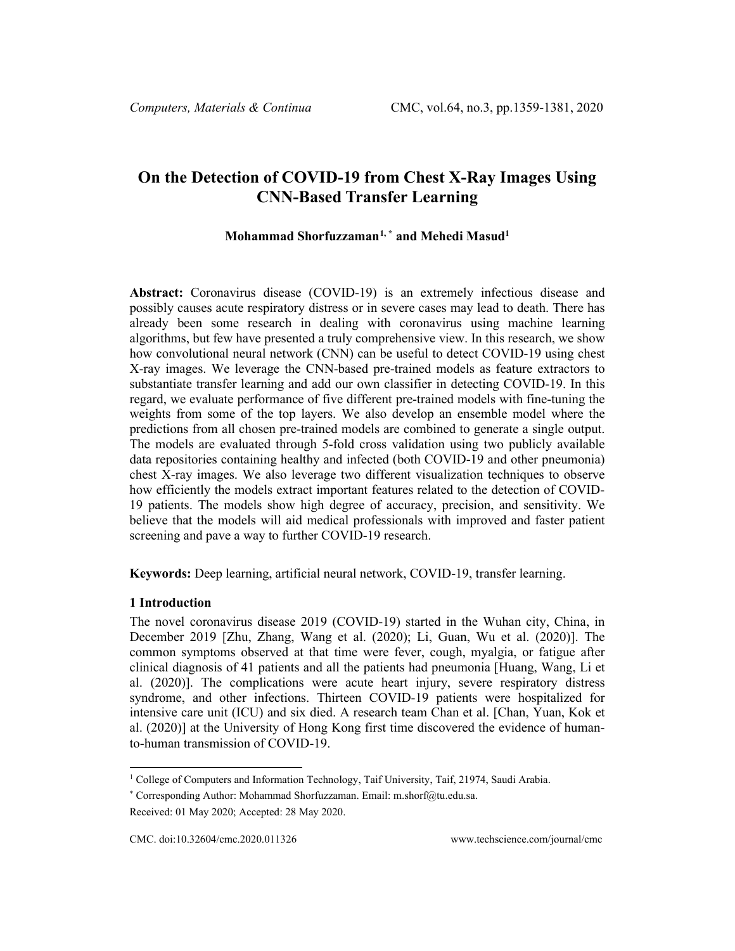# **On the Detection of COVID-19 from Chest X-Ray Images Using CNN-Based Transfer Learning**

# **Mohammad Shorfuzzaman[1](#page-0-0), \* and Mehedi Masud1**

**Abstract:** Coronavirus disease (COVID-19) is an extremely infectious disease and possibly causes acute respiratory distress or in severe cases may lead to death. There has already been some research in dealing with coronavirus using machine learning algorithms, but few have presented a truly comprehensive view. In this research, we show how convolutional neural network (CNN) can be useful to detect COVID-19 using chest X-ray images. We leverage the CNN-based pre-trained models as feature extractors to substantiate transfer learning and add our own classifier in detecting COVID-19. In this regard, we evaluate performance of five different pre-trained models with fine-tuning the weights from some of the top layers. We also develop an ensemble model where the predictions from all chosen pre-trained models are combined to generate a single output. The models are evaluated through 5-fold cross validation using two publicly available data repositories containing healthy and infected (both COVID-19 and other pneumonia) chest X-ray images. We also leverage two different visualization techniques to observe how efficiently the models extract important features related to the detection of COVID-19 patients. The models show high degree of accuracy, precision, and sensitivity. We believe that the models will aid medical professionals with improved and faster patient screening and pave a way to further COVID-19 research.

**Keywords:** Deep learning, artificial neural network, COVID-19, transfer learning.

#### **1 Introduction**

The novel coronavirus disease 2019 (COVID-19) started in the Wuhan city, China, in December 2019 [Zhu, Zhang, Wang et al. (2020); Li, Guan, Wu et al. (2020)]. The common symptoms observed at that time were fever, cough, myalgia, or fatigue after clinical diagnosis of 41 patients and all the patients had pneumonia [Huang, Wang, Li et al. (2020)]. The complications were acute heart injury, severe respiratory distress syndrome, and other infections. Thirteen COVID-19 patients were hospitalized for intensive care unit (ICU) and six died. A research team Chan et al. [Chan, Yuan, Kok et al. (2020)] at the University of Hong Kong first time discovered the evidence of humanto-human transmission of COVID-19.

<span id="page-0-0"></span><sup>1</sup> College of Computers and Information Technology, Taif University, Taif, 21974, Saudi Arabia.

<sup>\*</sup> Corresponding Author: Mohammad Shorfuzzaman. Email: m.shorf@tu.edu.sa.

Received: 01 May 2020; Accepted: 28 May 2020.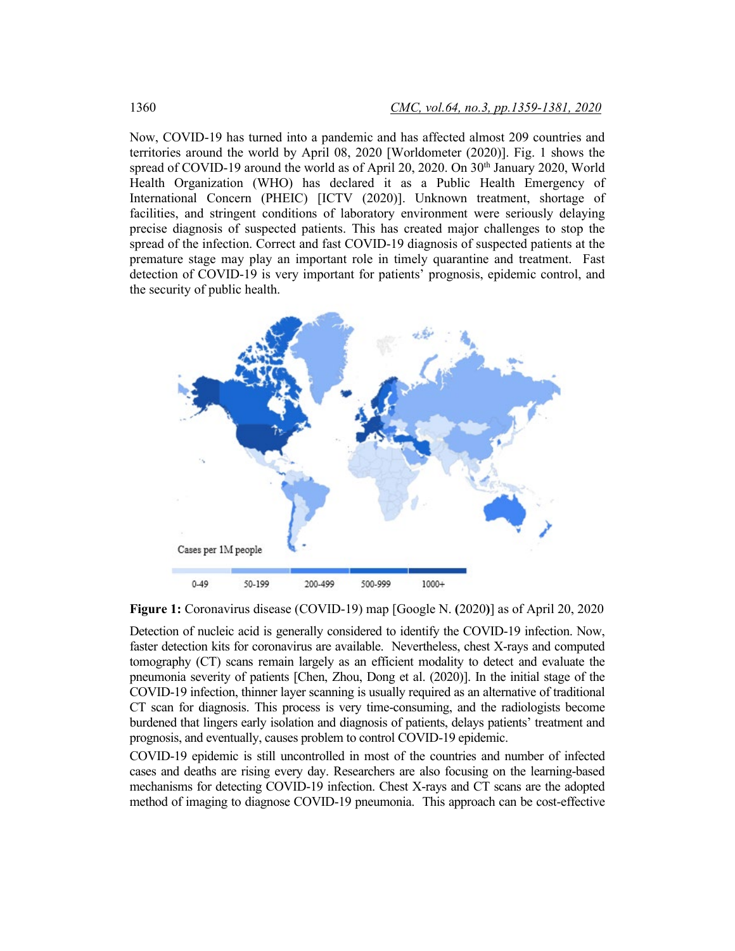Now, COVID-19 has turned into a pandemic and has affected almost 209 countries and territories around the world by April 08, 2020 [Worldometer (2020)]. Fig. 1 shows the spread of COVID-19 around the world as of April 20, 2020. On  $30<sup>th</sup>$  January 2020, World Health Organization (WHO) has declared it as a Public Health Emergency of International Concern (PHEIC) [ICTV (2020)]. Unknown treatment, shortage of facilities, and stringent conditions of laboratory environment were seriously delaying precise diagnosis of suspected patients. This has created major challenges to stop the spread of the infection. Correct and fast COVID-19 diagnosis of suspected patients at the premature stage may play an important role in timely quarantine and treatment. Fast detection of COVID-19 is very important for patients' prognosis, epidemic control, and the security of public health.



**Figure 1:** Coronavirus disease (COVID-19) map [Google N. **(**2020**)**] as of April 20, 2020

Detection of nucleic acid is generally considered to identify the COVID-19 infection. Now, faster detection kits for coronavirus are available. Nevertheless, chest X-rays and computed tomography (CT) scans remain largely as an efficient modality to detect and evaluate the pneumonia severity of patients [Chen, Zhou, Dong et al. (2020)]. In the initial stage of the COVID-19 infection, thinner layer scanning is usually required as an alternative of traditional CT scan for diagnosis. This process is very time-consuming, and the radiologists become burdened that lingers early isolation and diagnosis of patients, delays patients' treatment and prognosis, and eventually, causes problem to control COVID-19 epidemic.

COVID-19 epidemic is still uncontrolled in most of the countries and number of infected cases and deaths are rising every day. Researchers are also focusing on the learning-based mechanisms for detecting COVID-19 infection. Chest X-rays and CT scans are the adopted method of imaging to diagnose COVID-19 pneumonia. This approach can be cost-effective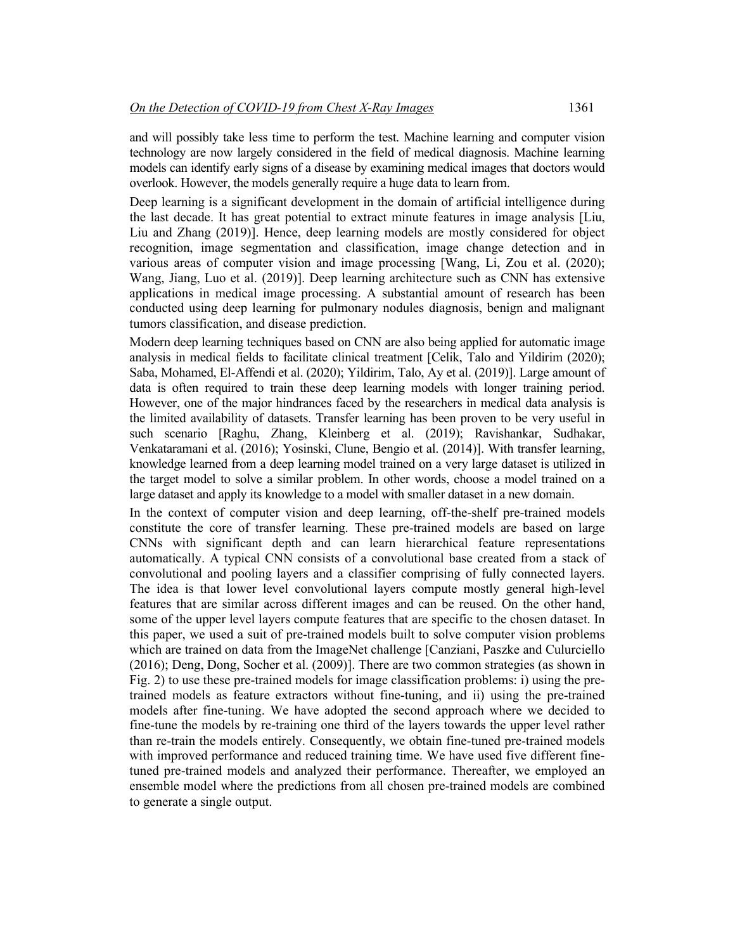and will possibly take less time to perform the test. Machine learning and computer vision technology are now largely considered in the field of medical diagnosis. Machine learning models can identify early signs of a disease by examining medical images that doctors would overlook. However, the models generally require a huge data to learn from.

Deep learning is a significant development in the domain of artificial intelligence during the last decade. It has great potential to extract minute features in image analysis [Liu, Liu and Zhang (2019)]. Hence, deep learning models are mostly considered for object recognition, image segmentation and classification, image change detection and in various areas of computer vision and image processing [Wang, Li, Zou et al. (2020); Wang, Jiang, Luo et al. (2019)]. Deep learning architecture such as CNN has extensive applications in medical image processing. A substantial amount of research has been conducted using deep learning for pulmonary nodules diagnosis, benign and malignant tumors classification, and disease prediction.

Modern deep learning techniques based on CNN are also being applied for automatic image analysis in medical fields to facilitate clinical treatment [Celik, Talo and Yildirim (2020); Saba, Mohamed, El-Affendi et al. (2020); Yildirim, Talo, Ay et al. (2019)]. Large amount of data is often required to train these deep learning models with longer training period. However, one of the major hindrances faced by the researchers in medical data analysis is the limited availability of datasets. Transfer learning has been proven to be very useful in such scenario [Raghu, Zhang, Kleinberg et al. (2019); Ravishankar, Sudhakar, Venkataramani et al. (2016); Yosinski, Clune, Bengio et al. (2014)]. With transfer learning, knowledge learned from a deep learning model trained on a very large dataset is utilized in the target model to solve a similar problem. In other words, choose a model trained on a large dataset and apply its knowledge to a model with smaller dataset in a new domain.

In the context of computer vision and deep learning, off-the-shelf pre-trained models constitute the core of transfer learning. These pre-trained models are based on large CNNs with significant depth and can learn hierarchical feature representations automatically. A typical CNN consists of a convolutional base created from a stack of convolutional and pooling layers and a classifier comprising of fully connected layers. The idea is that lower level convolutional layers compute mostly general high-level features that are similar across different images and can be reused. On the other hand, some of the upper level layers compute features that are specific to the chosen dataset. In this paper, we used a suit of pre-trained models built to solve computer vision problems which are trained on data from the ImageNet challenge [Canziani, Paszke and Culurciello (2016); Deng, Dong, Socher et al. (2009)]. There are two common strategies (as shown in Fig. 2) to use these pre-trained models for image classification problems: i) using the pretrained models as feature extractors without fine-tuning, and ii) using the pre-trained models after fine-tuning. We have adopted the second approach where we decided to fine-tune the models by re-training one third of the layers towards the upper level rather than re-train the models entirely. Consequently, we obtain fine-tuned pre-trained models with improved performance and reduced training time. We have used five different finetuned pre-trained models and analyzed their performance. Thereafter, we employed an ensemble model where the predictions from all chosen pre-trained models are combined to generate a single output.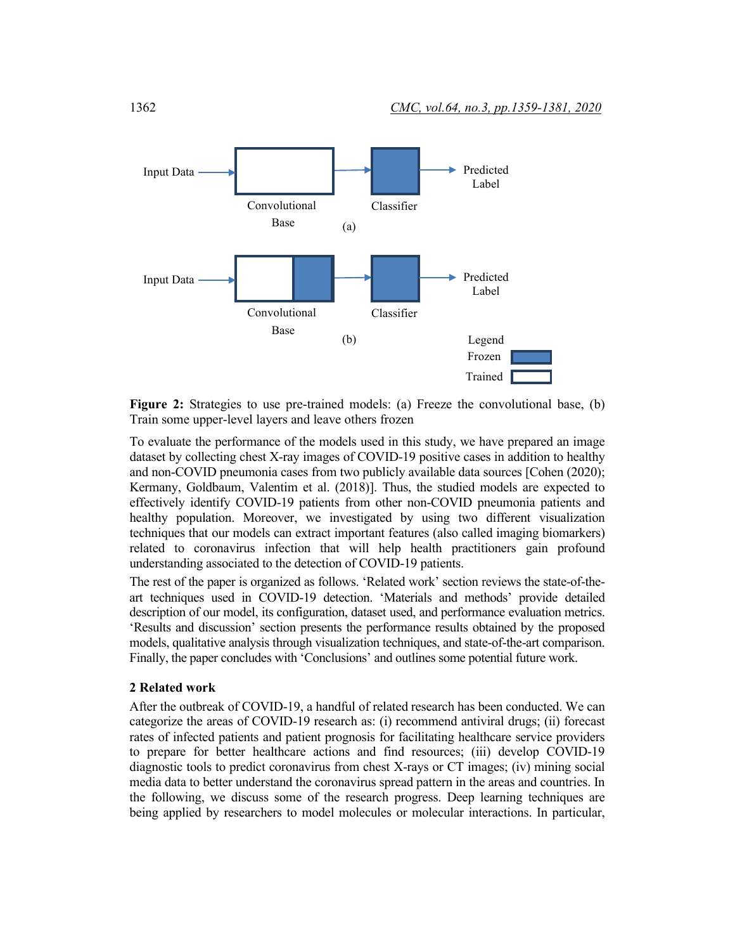

**Figure 2:** Strategies to use pre-trained models: (a) Freeze the convolutional base, (b) Train some upper-level layers and leave others frozen

To evaluate the performance of the models used in this study, we have prepared an image dataset by collecting chest X-ray images of COVID-19 positive cases in addition to healthy and non-COVID pneumonia cases from two publicly available data sources [Cohen (2020); Kermany, Goldbaum, Valentim et al. (2018)]. Thus, the studied models are expected to effectively identify COVID-19 patients from other non-COVID pneumonia patients and healthy population. Moreover, we investigated by using two different visualization techniques that our models can extract important features (also called imaging biomarkers) related to coronavirus infection that will help health practitioners gain profound understanding associated to the detection of COVID-19 patients.

The rest of the paper is organized as follows. 'Related work' section reviews the state-of-theart techniques used in COVID-19 detection. 'Materials and methods' provide detailed description of our model, its configuration, dataset used, and performance evaluation metrics. 'Results and discussion' section presents the performance results obtained by the proposed models, qualitative analysis through visualization techniques, and state-of-the-art comparison. Finally, the paper concludes with 'Conclusions' and outlines some potential future work.

#### **2 Related work**

After the outbreak of COVID-19, a handful of related research has been conducted. We can categorize the areas of COVID-19 research as: (i) recommend antiviral drugs; (ii) forecast rates of infected patients and patient prognosis for facilitating healthcare service providers to prepare for better healthcare actions and find resources; (iii) develop COVID-19 diagnostic tools to predict coronavirus from chest X-rays or CT images; (iv) mining social media data to better understand the coronavirus spread pattern in the areas and countries. In the following, we discuss some of the research progress. Deep learning techniques are being applied by researchers to model molecules or molecular interactions. In particular,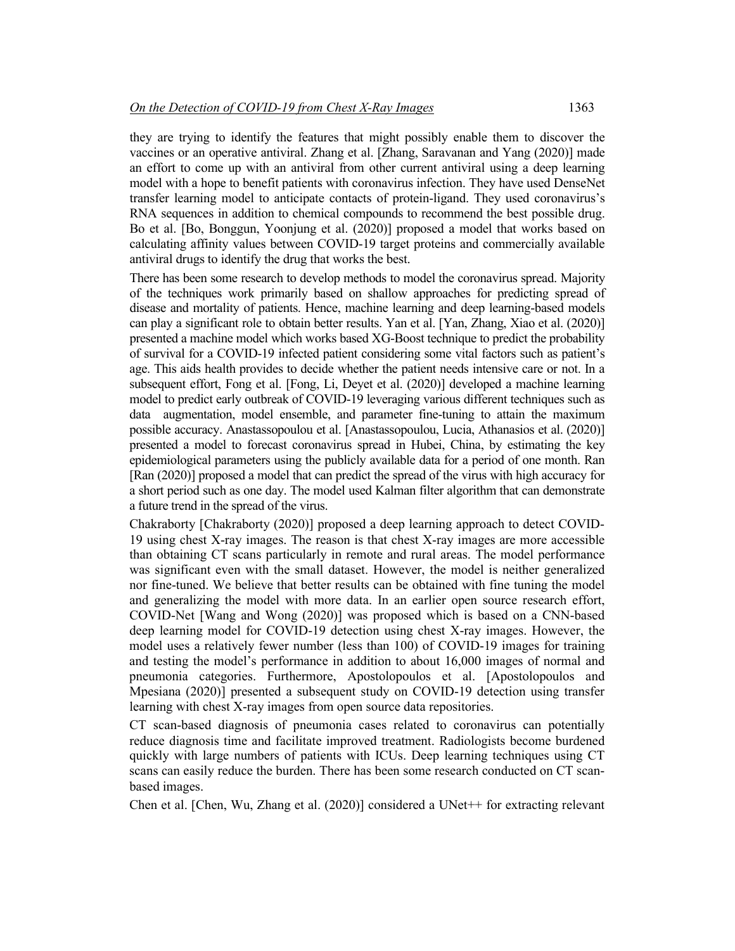they are trying to identify the features that might possibly enable them to discover the vaccines or an operative antiviral. Zhang et al. [Zhang, Saravanan and Yang (2020)] made an effort to come up with an antiviral from other current antiviral using a deep learning model with a hope to benefit patients with coronavirus infection. They have used DenseNet transfer learning model to anticipate contacts of protein-ligand. They used coronavirus's RNA sequences in addition to chemical compounds to recommend the best possible drug. Bo et al. [Bo, Bonggun, Yoonjung et al. (2020)] proposed a model that works based on calculating affinity values between COVID-19 target proteins and commercially available antiviral drugs to identify the drug that works the best.

There has been some research to develop methods to model the coronavirus spread. Majority of the techniques work primarily based on shallow approaches for predicting spread of disease and mortality of patients. Hence, machine learning and deep learning-based models can play a significant role to obtain better results. Yan et al. [Yan, Zhang, Xiao et al. (2020)] presented a machine model which works based XG-Boost technique to predict the probability of survival for a COVID-19 infected patient considering some vital factors such as patient's age. This aids health provides to decide whether the patient needs intensive care or not. In a subsequent effort, Fong et al. [Fong, Li, Deyet et al. (2020)] developed a machine learning model to predict early outbreak of COVID-19 leveraging various different techniques such as data augmentation, model ensemble, and parameter fine-tuning to attain the maximum possible accuracy. Anastassopoulou et al. [Anastassopoulou, Lucia, Athanasios et al. (2020)] presented a model to forecast coronavirus spread in Hubei, China, by estimating the key epidemiological parameters using the publicly available data for a period of one month. Ran [Ran (2020)] proposed a model that can predict the spread of the virus with high accuracy for a short period such as one day. The model used Kalman filter algorithm that can demonstrate a future trend in the spread of the virus.

Chakraborty [Chakraborty (2020)] proposed a deep learning approach to detect COVID-19 using chest X-ray images. The reason is that chest X-ray images are more accessible than obtaining CT scans particularly in remote and rural areas. The model performance was significant even with the small dataset. However, the model is neither generalized nor fine-tuned. We believe that better results can be obtained with fine tuning the model and generalizing the model with more data. In an earlier open source research effort, COVID-Net [Wang and Wong (2020)] was proposed which is based on a CNN-based deep learning model for COVID-19 detection using chest X-ray images. However, the model uses a relatively fewer number (less than 100) of COVID-19 images for training and testing the model's performance in addition to about 16,000 images of normal and pneumonia categories. Furthermore, Apostolopoulos et al. [Apostolopoulos and Mpesiana (2020)] presented a subsequent study on COVID-19 detection using transfer learning with chest X-ray images from open source data repositories.

CT scan-based diagnosis of pneumonia cases related to coronavirus can potentially reduce diagnosis time and facilitate improved treatment. Radiologists become burdened quickly with large numbers of patients with ICUs. Deep learning techniques using CT scans can easily reduce the burden. There has been some research conducted on CT scanbased images.

Chen et al. [Chen, Wu, Zhang et al. (2020)] considered a UNet++ for extracting relevant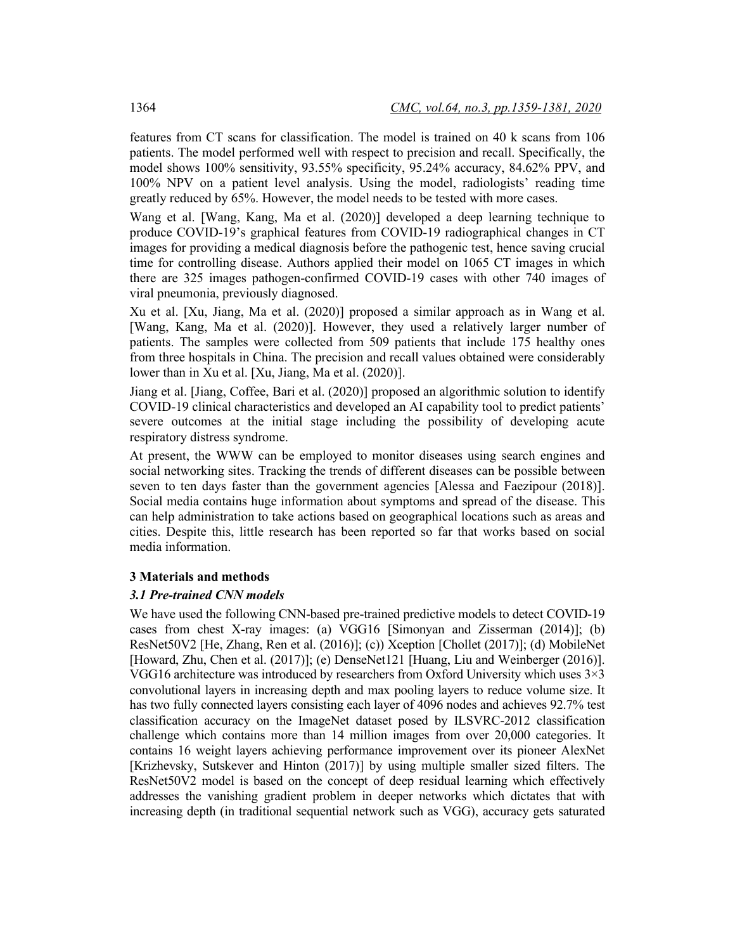features from CT scans for classification. The model is trained on 40 k scans from 106 patients. The model performed well with respect to precision and recall. Specifically, the model shows 100% sensitivity, 93.55% specificity, 95.24% accuracy, 84.62% PPV, and 100% NPV on a patient level analysis. Using the model, radiologists' reading time greatly reduced by 65%. However, the model needs to be tested with more cases.

Wang et al. [Wang, Kang, Ma et al. (2020)] developed a deep learning technique to produce COVID-19's graphical features from COVID-19 radiographical changes in CT images for providing a medical diagnosis before the pathogenic test, hence saving crucial time for controlling disease. Authors applied their model on 1065 CT images in which there are 325 images pathogen-confirmed COVID-19 cases with other 740 images of viral pneumonia, previously diagnosed.

Xu et al. [Xu, Jiang, Ma et al. (2020)] proposed a similar approach as in Wang et al. [Wang, Kang, Ma et al. (2020)]. However, they used a relatively larger number of patients. The samples were collected from 509 patients that include 175 healthy ones from three hospitals in China. The precision and recall values obtained were considerably lower than in Xu et al. [Xu, Jiang, Ma et al. (2020)].

Jiang et al. [Jiang, Coffee, Bari et al. (2020)] proposed an algorithmic solution to identify COVID-19 clinical characteristics and developed an AI capability tool to predict patients' severe outcomes at the initial stage including the possibility of developing acute respiratory distress syndrome.

At present, the WWW can be employed to monitor diseases using search engines and social networking sites. Tracking the trends of different diseases can be possible between seven to ten days faster than the government agencies [Alessa and Faezipour (2018)]. Social media contains huge information about symptoms and spread of the disease. This can help administration to take actions based on geographical locations such as areas and cities. Despite this, little research has been reported so far that works based on social media information.

# **3 Materials and methods**

# *3.1 Pre-trained CNN models*

We have used the following CNN-based pre-trained predictive models to detect COVID-19 cases from chest X-ray images: (a) VGG16 [Simonyan and Zisserman (2014)]; (b) ResNet50V2 [He, Zhang, Ren et al. (2016)]; (c)) Xception [Chollet (2017)]; (d) MobileNet [Howard, Zhu, Chen et al. (2017)]; (e) DenseNet121 [Huang, Liu and Weinberger (2016)]. VGG16 architecture was introduced by researchers from Oxford University which uses 3×3 convolutional layers in increasing depth and max pooling layers to reduce volume size. It has two fully connected layers consisting each layer of 4096 nodes and achieves 92.7% test classification accuracy on the ImageNet dataset posed by ILSVRC-2012 classification challenge which contains more than 14 million images from over 20,000 categories. It contains 16 weight layers achieving performance improvement over its pioneer AlexNet [Krizhevsky, Sutskever and Hinton (2017)] by using multiple smaller sized filters. The ResNet50V2 model is based on the concept of deep residual learning which effectively addresses the vanishing gradient problem in deeper networks which dictates that with increasing depth (in traditional sequential network such as VGG), accuracy gets saturated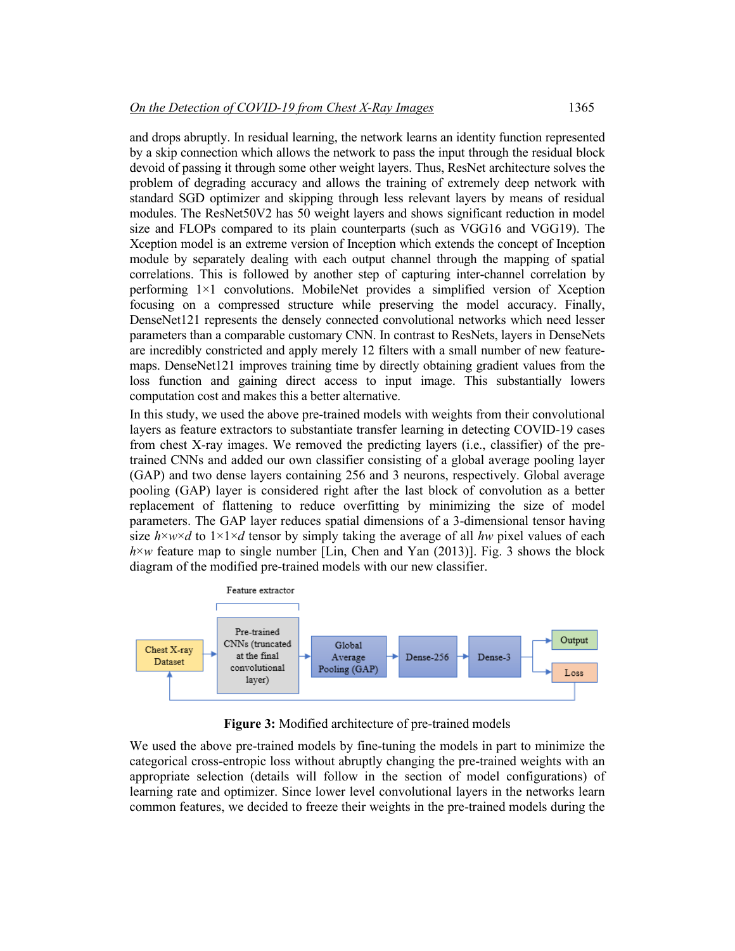and drops abruptly. In residual learning, the network learns an identity function represented by a skip connection which allows the network to pass the input through the residual block devoid of passing it through some other weight layers. Thus, ResNet architecture solves the problem of degrading accuracy and allows the training of extremely deep network with standard SGD optimizer and skipping through less relevant layers by means of residual modules. The ResNet50V2 has 50 weight layers and shows significant reduction in model size and FLOPs compared to its plain counterparts (such as VGG16 and VGG19). The Xception model is an extreme version of Inception which extends the concept of Inception module by separately dealing with each output channel through the mapping of spatial correlations. This is followed by another step of capturing inter-channel correlation by performing 1×1 convolutions. MobileNet provides a simplified version of Xception focusing on a compressed structure while preserving the model accuracy. Finally, DenseNet121 represents the densely connected convolutional networks which need lesser parameters than a comparable customary CNN. In contrast to ResNets, layers in DenseNets are incredibly constricted and apply merely 12 filters with a small number of new featuremaps. DenseNet121 improves training time by directly obtaining gradient values from the loss function and gaining direct access to input image. This substantially lowers computation cost and makes this a better alternative.

In this study, we used the above pre-trained models with weights from their convolutional layers as feature extractors to substantiate transfer learning in detecting COVID-19 cases from chest X-ray images. We removed the predicting layers (i.e., classifier) of the pretrained CNNs and added our own classifier consisting of a global average pooling layer (GAP) and two dense layers containing 256 and 3 neurons, respectively. Global average pooling (GAP) layer is considered right after the last block of convolution as a better replacement of flattening to reduce overfitting by minimizing the size of model parameters. The GAP layer reduces spatial dimensions of a 3-dimensional tensor having size  $h \times w \times d$  to  $1 \times 1 \times d$  tensor by simply taking the average of all *hw* pixel values of each  $h \times w$  feature map to single number [Lin, Chen and Yan (2013)]. Fig. 3 shows the block diagram of the modified pre-trained models with our new classifier.



**Figure 3:** Modified architecture of pre-trained models

We used the above pre-trained models by fine-tuning the models in part to minimize the categorical cross-entropic loss without abruptly changing the pre-trained weights with an appropriate selection (details will follow in the section of model configurations) of learning rate and optimizer. Since lower level convolutional layers in the networks learn common features, we decided to freeze their weights in the pre-trained models during the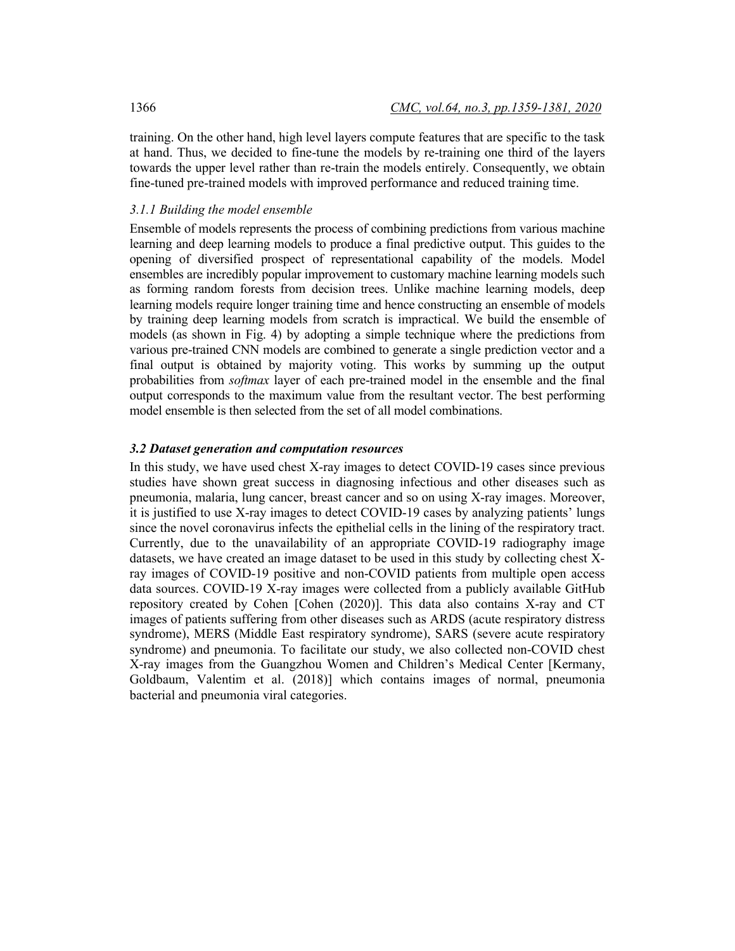training. On the other hand, high level layers compute features that are specific to the task at hand. Thus, we decided to fine-tune the models by re-training one third of the layers towards the upper level rather than re-train the models entirely. Consequently, we obtain fine-tuned pre-trained models with improved performance and reduced training time.

# *3.1.1 Building the model ensemble*

Ensemble of models represents the process of combining predictions from various machine learning and deep learning models to produce a final predictive output. This guides to the opening of diversified prospect of representational capability of the models. Model ensembles are incredibly popular improvement to customary machine learning models such as forming random forests from decision trees. Unlike machine learning models, deep learning models require longer training time and hence constructing an ensemble of models by training deep learning models from scratch is impractical. We build the ensemble of models (as shown in Fig. 4) by adopting a simple technique where the predictions from various pre-trained CNN models are combined to generate a single prediction vector and a final output is obtained by majority voting. This works by summing up the output probabilities from *softmax* layer of each pre-trained model in the ensemble and the final output corresponds to the maximum value from the resultant vector. The best performing model ensemble is then selected from the set of all model combinations.

# *3.2 Dataset generation and computation resources*

In this study, we have used chest X-ray images to detect COVID-19 cases since previous studies have shown great success in diagnosing infectious and other diseases such as pneumonia, malaria, lung cancer, breast cancer and so on using X-ray images. Moreover, it is justified to use X-ray images to detect COVID-19 cases by analyzing patients' lungs since the novel coronavirus infects the epithelial cells in the lining of the respiratory tract. Currently, due to the unavailability of an appropriate COVID-19 radiography image datasets, we have created an image dataset to be used in this study by collecting chest Xray images of COVID-19 positive and non-COVID patients from multiple open access data sources. COVID-19 X-ray images were collected from a publicly available GitHub repository created by Cohen [Cohen (2020)]. This data also contains X-ray and CT images of patients suffering from other diseases such as ARDS (acute respiratory distress syndrome), MERS (Middle East respiratory syndrome), SARS (severe acute respiratory syndrome) and pneumonia. To facilitate our study, we also collected non-COVID chest X-ray images from the Guangzhou Women and Children's Medical Center [Kermany, Goldbaum, Valentim et al. (2018)] which contains images of normal, pneumonia bacterial and pneumonia viral categories.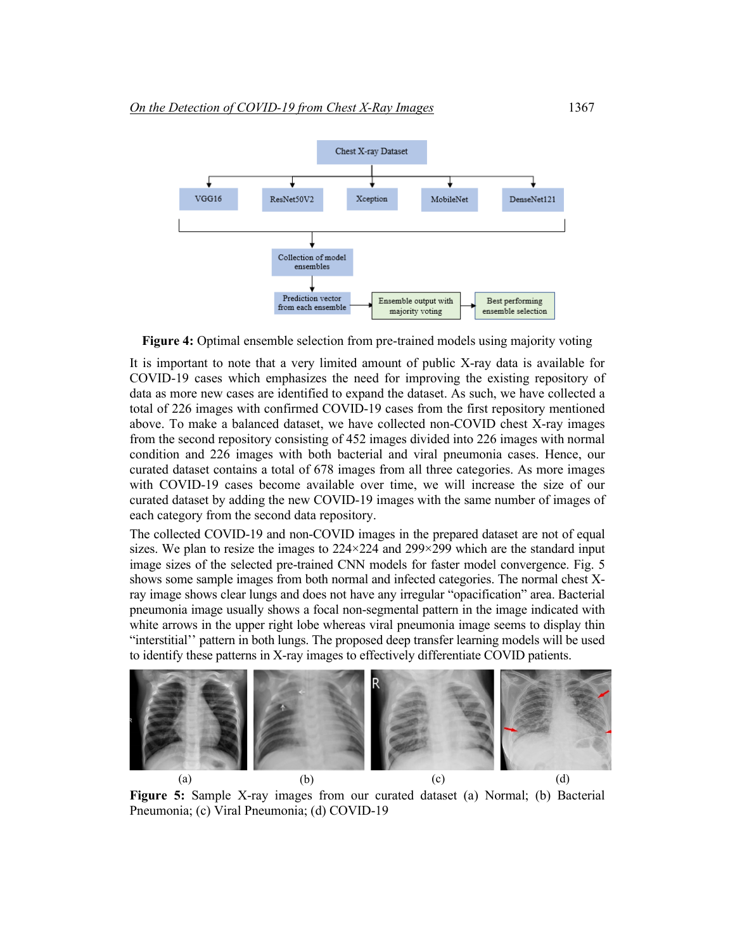

**Figure 4:** Optimal ensemble selection from pre-trained models using majority voting

It is important to note that a very limited amount of public X-ray data is available for COVID-19 cases which emphasizes the need for improving the existing repository of data as more new cases are identified to expand the dataset. As such, we have collected a total of 226 images with confirmed COVID-19 cases from the first repository mentioned above. To make a balanced dataset, we have collected non-COVID chest X-ray images from the second repository consisting of 452 images divided into 226 images with normal condition and 226 images with both bacterial and viral pneumonia cases. Hence, our curated dataset contains a total of 678 images from all three categories. As more images with COVID-19 cases become available over time, we will increase the size of our curated dataset by adding the new COVID-19 images with the same number of images of each category from the second data repository.

The collected COVID-19 and non-COVID images in the prepared dataset are not of equal sizes. We plan to resize the images to  $224 \times 224$  and  $299 \times 299$  which are the standard input image sizes of the selected pre-trained CNN models for faster model convergence. Fig. 5 shows some sample images from both normal and infected categories. The normal chest Xray image shows clear lungs and does not have any irregular "opacification" area. Bacterial pneumonia image usually shows a focal non-segmental pattern in the image indicated with white arrows in the upper right lobe whereas viral pneumonia image seems to display thin "interstitial'' pattern in both lungs. The proposed deep transfer learning models will be used to identify these patterns in X-ray images to effectively differentiate COVID patients.



**Figure 5:** Sample X-ray images from our curated dataset (a) Normal; (b) Bacterial Pneumonia; (c) Viral Pneumonia; (d) COVID-19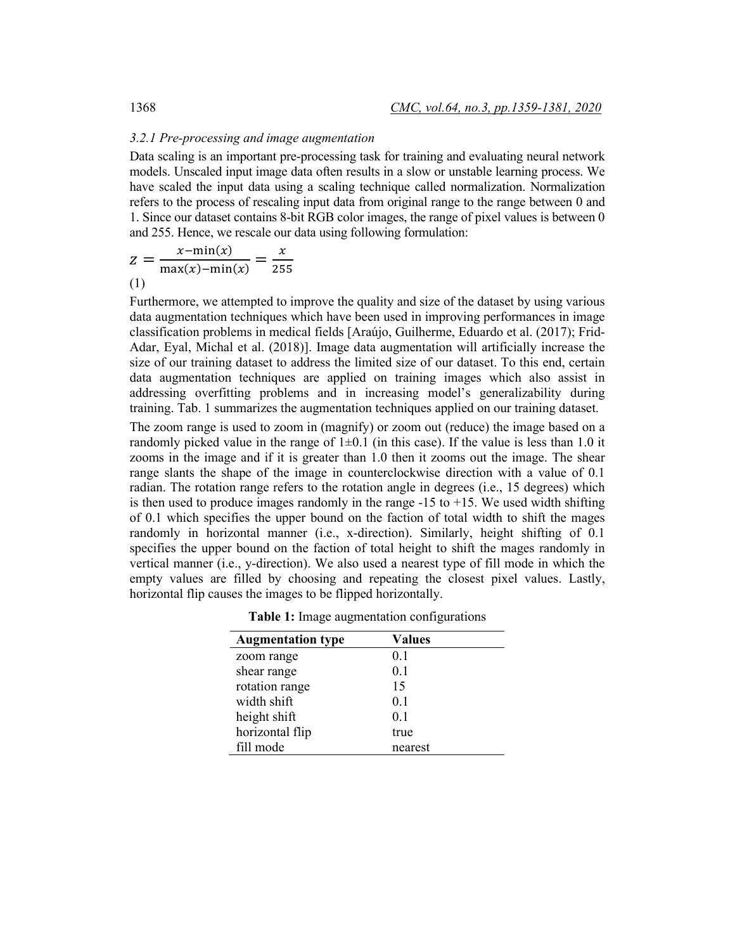#### *3.2.1 Pre-processing and image augmentation*

Data scaling is an important pre-processing task for training and evaluating neural network models. Unscaled input image data often results in a slow or unstable learning process. We have scaled the input data using a scaling technique called normalization. Normalization refers to the process of rescaling input data from original range to the range between 0 and 1. Since our dataset contains 8-bit RGB color images, the range of pixel values is between 0 and 255. Hence, we rescale our data using following formulation:

$$
z = \frac{x - \min(x)}{\max(x) - \min(x)} = \frac{x}{255}
$$
  
(1)

Furthermore, we attempted to improve the quality and size of the dataset by using various data augmentation techniques which have been used in improving performances in image classification problems in medical fields [Araújo, Guilherme, Eduardo et al. (2017); Frid-Adar, Eyal, Michal et al. (2018)]. Image data augmentation will artificially increase the size of our training dataset to address the limited size of our dataset. To this end, certain data augmentation techniques are applied on training images which also assist in addressing overfitting problems and in increasing model's generalizability during training. Tab. 1 summarizes the augmentation techniques applied on our training dataset.

The zoom range is used to zoom in (magnify) or zoom out (reduce) the image based on a randomly picked value in the range of  $1\pm 0.1$  (in this case). If the value is less than 1.0 it zooms in the image and if it is greater than 1.0 then it zooms out the image. The shear range slants the shape of the image in counterclockwise direction with a value of 0.1 radian. The rotation range refers to the rotation angle in degrees (i.e., 15 degrees) which is then used to produce images randomly in the range  $-15$  to  $+15$ . We used width shifting of 0.1 which specifies the upper bound on the faction of total width to shift the mages randomly in horizontal manner (i.e., x-direction). Similarly, height shifting of 0.1 specifies the upper bound on the faction of total height to shift the mages randomly in vertical manner (i.e., y-direction). We also used a nearest type of fill mode in which the empty values are filled by choosing and repeating the closest pixel values. Lastly, horizontal flip causes the images to be flipped horizontally.

| <b>Augmentation type</b> | <b>Values</b>  |
|--------------------------|----------------|
| zoom range               | 0.1            |
| shear range              | 0.1            |
| rotation range           | 15             |
| width shift              | 0.1            |
| height shift             | 0 <sub>1</sub> |
| horizontal flip          | true           |
| fill mode                | nearest        |

**Table 1:** Image augmentation configurations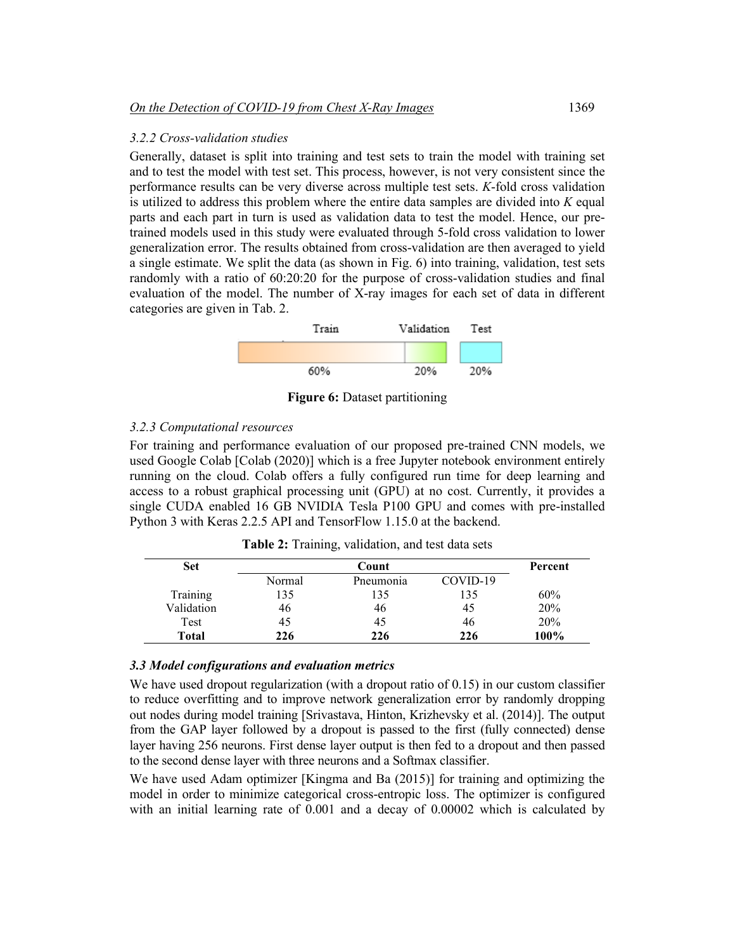#### *3.2.2 Cross-validation studies*

Generally, dataset is split into training and test sets to train the model with training set and to test the model with test set. This process, however, is not very consistent since the performance results can be very diverse across multiple test sets. *K*-fold cross validation is utilized to address this problem where the entire data samples are divided into *K* equal parts and each part in turn is used as validation data to test the model. Hence, our pretrained models used in this study were evaluated through 5-fold cross validation to lower generalization error. The results obtained from cross-validation are then averaged to yield a single estimate. We split the data (as shown in Fig. 6) into training, validation, test sets randomly with a ratio of 60:20:20 for the purpose of cross-validation studies and final evaluation of the model. The number of X-ray images for each set of data in different categories are given in Tab. 2.



**Figure 6:** Dataset partitioning

# *3.2.3 Computational resources*

For training and performance evaluation of our proposed pre-trained CNN models, we used Google Colab [Colab (2020)] which is a free Jupyter notebook environment entirely running on the cloud. Colab offers a fully configured run time for deep learning and access to a robust graphical processing unit (GPU) at no cost. Currently, it provides a single CUDA enabled 16 GB NVIDIA Tesla P100 GPU and comes with pre-installed Python 3 with Keras 2.2.5 API and TensorFlow 1.15.0 at the backend.

| <b>Set</b>   |        | Percent   |          |      |
|--------------|--------|-----------|----------|------|
|              | Normal | Pneumonia | COVID-19 |      |
| Training     | 135    | 135       | 135      | 60%  |
| Validation   | 46     | 46        | 45       | 20%  |
| Test         | 45     | 45        | 46       | 20%  |
| <b>Total</b> | 226    | 226       | 226      | 100% |

**Table 2:** Training, validation, and test data sets

# *3.3 Model configurations and evaluation metrics*

We have used dropout regularization (with a dropout ratio of 0.15) in our custom classifier to reduce overfitting and to improve network generalization error by randomly dropping out nodes during model training [Srivastava, Hinton, Krizhevsky et al. (2014)]. The output from the GAP layer followed by a dropout is passed to the first (fully connected) dense layer having 256 neurons. First dense layer output is then fed to a dropout and then passed to the second dense layer with three neurons and a Softmax classifier.

We have used Adam optimizer [Kingma and Ba (2015)] for training and optimizing the model in order to minimize categorical cross-entropic loss. The optimizer is configured with an initial learning rate of 0.001 and a decay of 0.00002 which is calculated by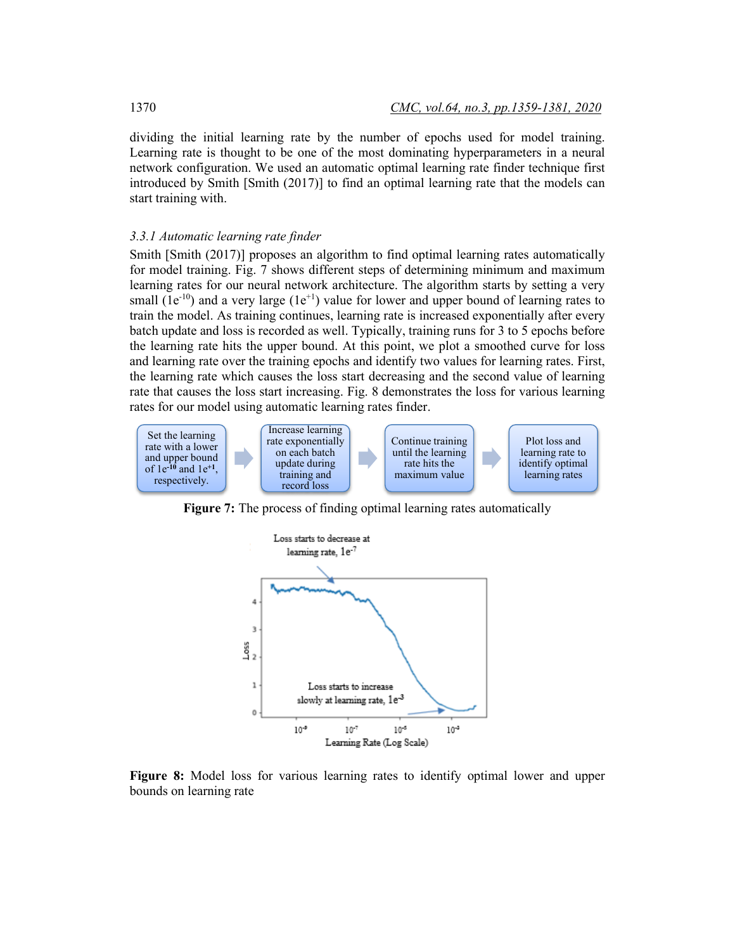dividing the initial learning rate by the number of epochs used for model training. Learning rate is thought to be one of the most dominating hyperparameters in a neural network configuration. We used an automatic optimal learning rate finder technique first introduced by Smith [Smith (2017)] to find an optimal learning rate that the models can start training with.

#### *3.3.1 Automatic learning rate finder*

Smith [Smith (2017)] proposes an algorithm to find optimal learning rates automatically for model training. Fig. 7 shows different steps of determining minimum and maximum learning rates for our neural network architecture. The algorithm starts by setting a very small  $(1e^{-10})$  and a very large  $(1e^{+1})$  value for lower and upper bound of learning rates to train the model. As training continues, learning rate is increased exponentially after every batch update and loss is recorded as well. Typically, training runs for 3 to 5 epochs before the learning rate hits the upper bound. At this point, we plot a smoothed curve for loss and learning rate over the training epochs and identify two values for learning rates. First, the learning rate which causes the loss start decreasing and the second value of learning rate that causes the loss start increasing. Fig. 8 demonstrates the loss for various learning rates for our model using automatic learning rates finder.



**Figure 7:** The process of finding optimal learning rates automatically



**Figure 8:** Model loss for various learning rates to identify optimal lower and upper bounds on learning rate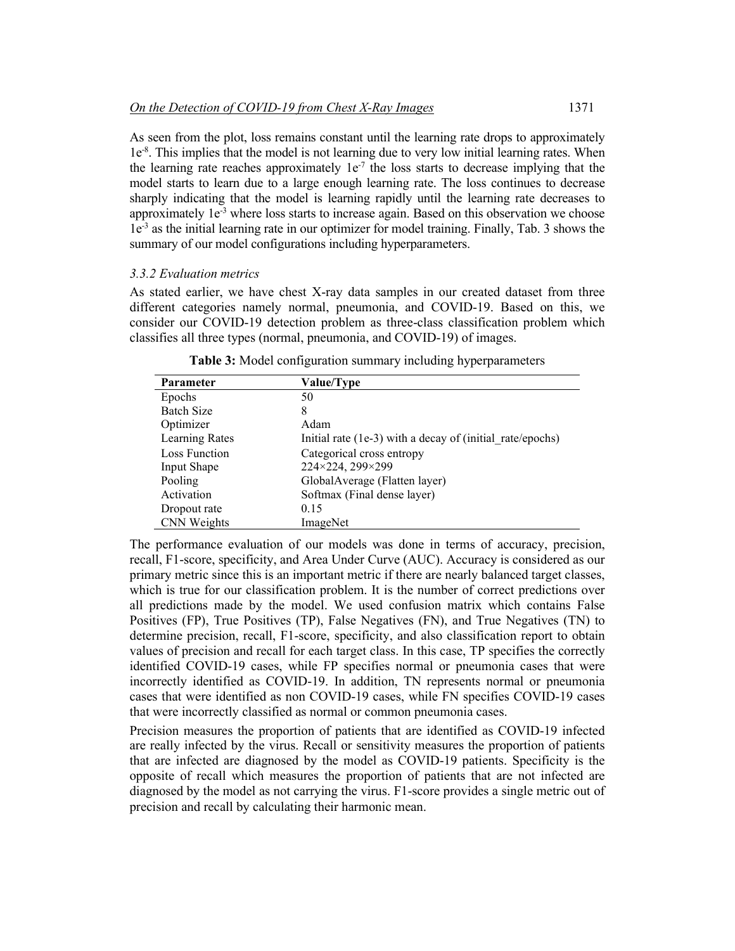As seen from the plot, loss remains constant until the learning rate drops to approximately 1e<sup>-8</sup>. This implies that the model is not learning due to very low initial learning rates. When the learning rate reaches approximately  $1e^{-7}$  the loss starts to decrease implying that the model starts to learn due to a large enough learning rate. The loss continues to decrease sharply indicating that the model is learning rapidly until the learning rate decreases to approximately  $1e^{-3}$  where loss starts to increase again. Based on this observation we choose 1e-3 as the initial learning rate in our optimizer for model training. Finally, Tab. 3 shows the summary of our model configurations including hyperparameters.

#### *3.3.2 Evaluation metrics*

As stated earlier, we have chest X-ray data samples in our created dataset from three different categories namely normal, pneumonia, and COVID-19. Based on this, we consider our COVID-19 detection problem as three-class classification problem which classifies all three types (normal, pneumonia, and COVID-19) of images.

| Parameter             | Value/Type                                                |
|-----------------------|-----------------------------------------------------------|
| Epochs                | 50                                                        |
| <b>Batch Size</b>     | 8                                                         |
| Optimizer             | Adam                                                      |
| <b>Learning Rates</b> | Initial rate (1e-3) with a decay of (initial rate/epochs) |
| Loss Function         | Categorical cross entropy                                 |
| Input Shape           | 224×224, 299×299                                          |
| Pooling               | GlobalAverage (Flatten layer)                             |
| Activation            | Softmax (Final dense layer)                               |
| Dropout rate          | 0.15                                                      |
| CNN Weights           | ImageNet                                                  |

**Table 3:** Model configuration summary including hyperparameters

The performance evaluation of our models was done in terms of accuracy, precision, recall, F1-score, specificity, and Area Under Curve (AUC). Accuracy is considered as our primary metric since this is an important metric if there are nearly balanced target classes, which is true for our classification problem. It is the number of correct predictions over all predictions made by the model. We used confusion matrix which contains False Positives (FP), True Positives (TP), False Negatives (FN), and True Negatives (TN) to determine precision, recall, F1-score, specificity, and also classification report to obtain values of precision and recall for each target class. In this case, TP specifies the correctly identified COVID-19 cases, while FP specifies normal or pneumonia cases that were incorrectly identified as COVID-19. In addition, TN represents normal or pneumonia cases that were identified as non COVID-19 cases, while FN specifies COVID-19 cases that were incorrectly classified as normal or common pneumonia cases.

Precision measures the proportion of patients that are identified as COVID-19 infected are really infected by the virus. Recall or sensitivity measures the proportion of patients that are infected are diagnosed by the model as COVID-19 patients. Specificity is the opposite of recall which measures the proportion of patients that are not infected are diagnosed by the model as not carrying the virus. F1-score provides a single metric out of precision and recall by calculating their harmonic mean.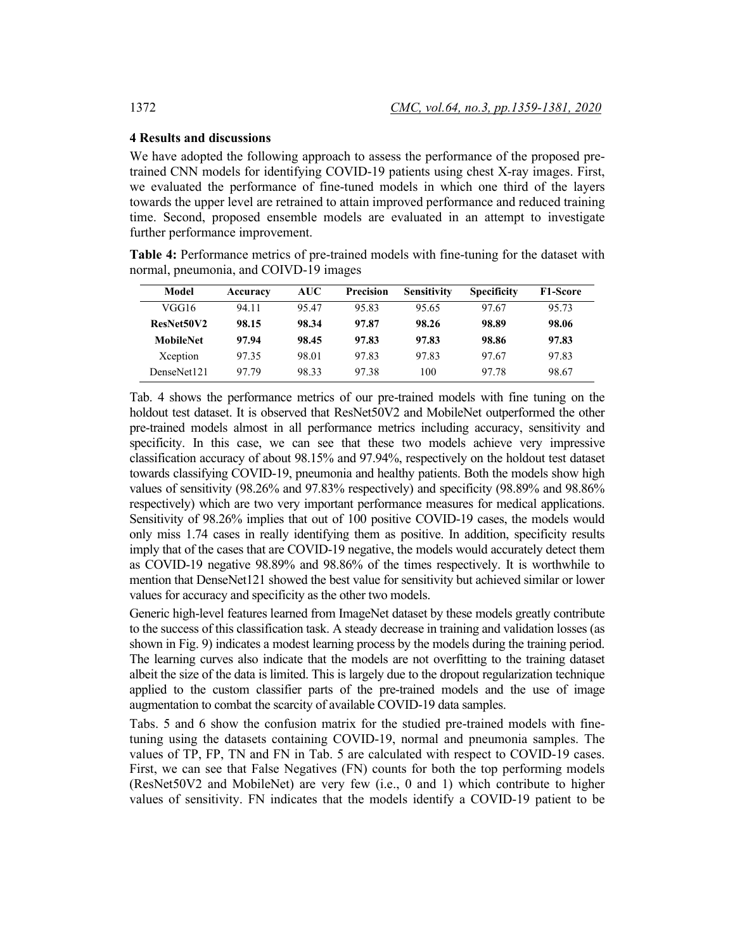# **4 Results and discussions**

We have adopted the following approach to assess the performance of the proposed pretrained CNN models for identifying COVID-19 patients using chest X-ray images. First, we evaluated the performance of fine-tuned models in which one third of the layers towards the upper level are retrained to attain improved performance and reduced training time. Second, proposed ensemble models are evaluated in an attempt to investigate further performance improvement.

**Table 4:** Performance metrics of pre-trained models with fine-tuning for the dataset with normal, pneumonia, and COIVD-19 images

| Model            | Accuracy | AUC   | Precision | <b>Sensitivity</b> | <b>Specificity</b> | F1-Score |
|------------------|----------|-------|-----------|--------------------|--------------------|----------|
| VGG16            | 94 11    | 9547  | 95.83     | 95.65              | 97.67              | 95.73    |
| ResNet50V2       | 98.15    | 98.34 | 97.87     | 98.26              | 98.89              | 98.06    |
| <b>MobileNet</b> | 97.94    | 98.45 | 97.83     | 97.83              | 98.86              | 97.83    |
| Xception         | 97.35    | 98.01 | 97.83     | 97.83              | 97.67              | 97.83    |
| DenseNet121      | 9779     | 98.33 | 9738      | 100                | 97.78              | 98.67    |

Tab. 4 shows the performance metrics of our pre-trained models with fine tuning on the holdout test dataset. It is observed that ResNet50V2 and MobileNet outperformed the other pre-trained models almost in all performance metrics including accuracy, sensitivity and specificity. In this case, we can see that these two models achieve very impressive classification accuracy of about 98.15% and 97.94%, respectively on the holdout test dataset towards classifying COVID-19, pneumonia and healthy patients. Both the models show high values of sensitivity (98.26% and 97.83% respectively) and specificity (98.89% and 98.86% respectively) which are two very important performance measures for medical applications. Sensitivity of 98.26% implies that out of 100 positive COVID-19 cases, the models would only miss 1.74 cases in really identifying them as positive. In addition, specificity results imply that of the cases that are COVID-19 negative, the models would accurately detect them as COVID-19 negative 98.89% and 98.86% of the times respectively. It is worthwhile to mention that DenseNet121 showed the best value for sensitivity but achieved similar or lower values for accuracy and specificity as the other two models.

Generic high-level features learned from ImageNet dataset by these models greatly contribute to the success of this classification task. A steady decrease in training and validation losses (as shown in Fig. 9) indicates a modest learning process by the models during the training period. The learning curves also indicate that the models are not overfitting to the training dataset albeit the size of the data is limited. This is largely due to the dropout regularization technique applied to the custom classifier parts of the pre-trained models and the use of image augmentation to combat the scarcity of available COVID-19 data samples.

Tabs. 5 and 6 show the confusion matrix for the studied pre-trained models with finetuning using the datasets containing COVID-19, normal and pneumonia samples. The values of TP, FP, TN and FN in Tab. 5 are calculated with respect to COVID-19 cases. First, we can see that False Negatives (FN) counts for both the top performing models (ResNet50V2 and MobileNet) are very few (i.e., 0 and 1) which contribute to higher values of sensitivity. FN indicates that the models identify a COVID-19 patient to be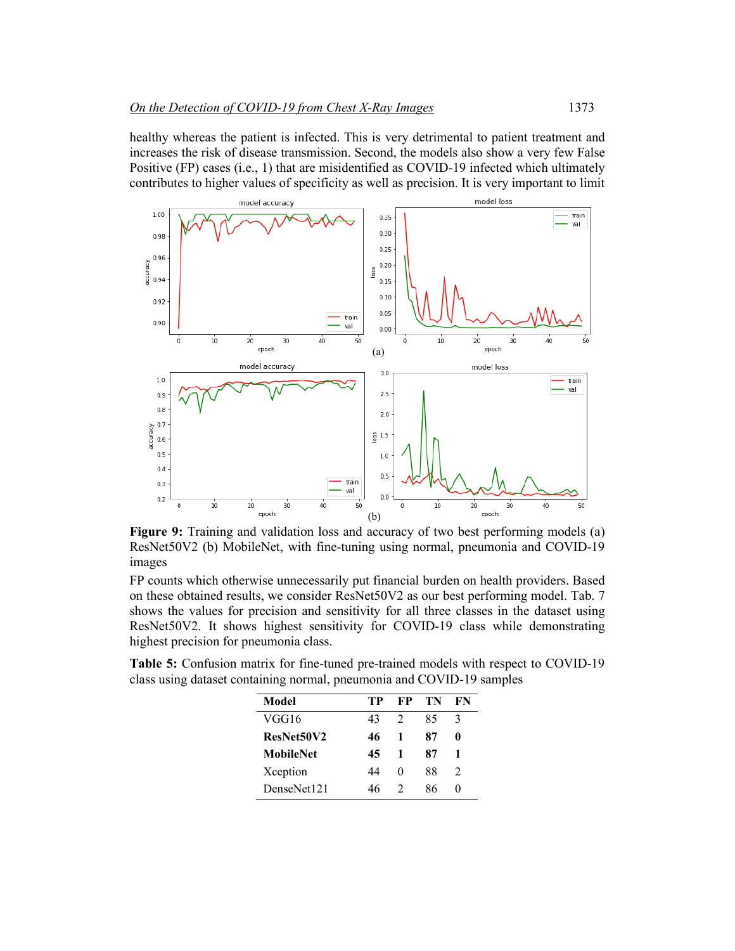healthy whereas the patient is infected. This is very detrimental to patient treatment and increases the risk of disease transmission. Second, the models also show a very few False Positive (FP) cases (i.e., 1) that are misidentified as COVID-19 infected which ultimately contributes to higher values of specificity as well as precision. It is very important to limit



**Figure 9:** Training and validation loss and accuracy of two best performing models (a) ResNet50V2 (b) MobileNet, with fine-tuning using normal, pneumonia and COVID-19 images

FP counts which otherwise unnecessarily put financial burden on health providers. Based on these obtained results, we consider ResNet50V2 as our best performing model. Tab. 7 shows the values for precision and sensitivity for all three classes in the dataset using ResNet50V2. It shows highest sensitivity for COVID-19 class while demonstrating highest precision for pneumonia class.

**Table 5:** Confusion matrix for fine-tuned pre-trained models with respect to COVID-19 class using dataset containing normal, pneumonia and COVID-19 samples

| Model            | TР | FP | TN | FN            |
|------------------|----|----|----|---------------|
| VGG16            | 43 | 2  | 85 | 3             |
| ResNet50V2       | 46 | 1  | 87 | o             |
| <b>MobileNet</b> | 45 | 1  | 87 | 1             |
| Xception         | 44 | 0  | 88 | $\mathcal{L}$ |
| DenseNet121      | 46 | 2  | 86 | 0             |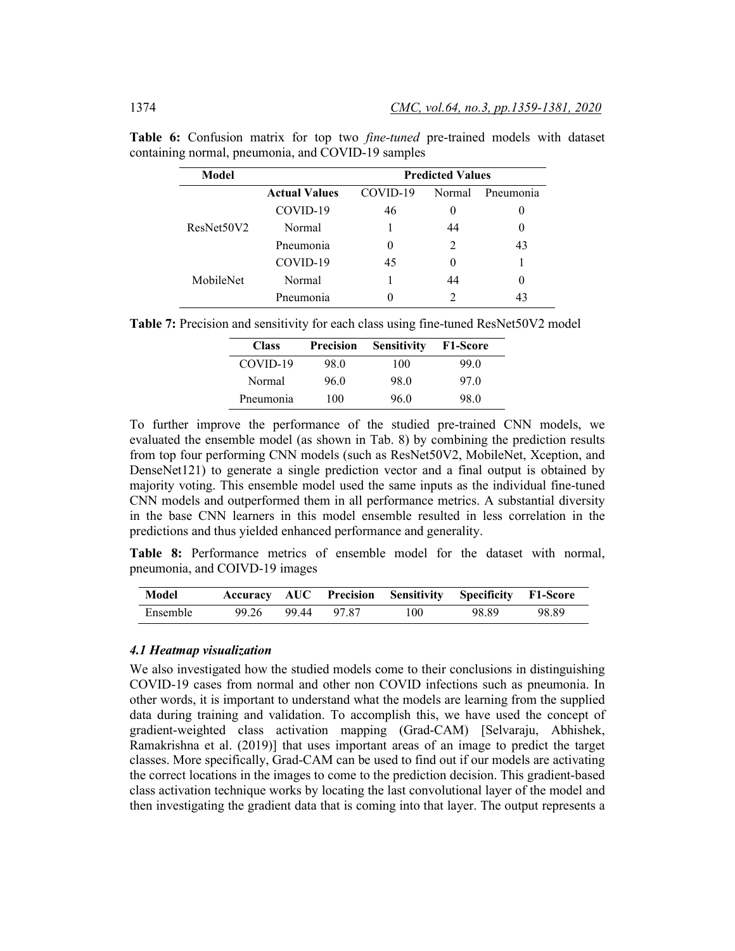| Model      |                      | <b>Predicted Values</b> |        |           |  |  |  |
|------------|----------------------|-------------------------|--------|-----------|--|--|--|
|            | <b>Actual Values</b> | COVID-19                | Normal | Pneumonia |  |  |  |
|            | COVID-19             | 46                      |        | 0         |  |  |  |
| ResNet50V2 | Normal               |                         | 44     | $\theta$  |  |  |  |
|            | Pneumonia            | $\theta$                |        | 43        |  |  |  |
|            | COVID-19             | 45                      |        |           |  |  |  |
| MobileNet  | Normal               |                         | 44     | $\theta$  |  |  |  |
|            | Pneumonia            |                         |        | 43        |  |  |  |

**Table 6:** Confusion matrix for top two *fine-tuned* pre-trained models with dataset containing normal, pneumonia, and COVID-19 samples

| <b>Class</b> | <b>Precision</b> | <b>Sensitivity</b> | <b>F1-Score</b> |
|--------------|------------------|--------------------|-----------------|
| COVID-19     | 98.0             | 100                | 99.0            |
| Normal       | 96.0             | 98.0               | 97.0            |
| Pneumonia    | 100              | 96 0               | 98.0            |

To further improve the performance of the studied pre-trained CNN models, we evaluated the ensemble model (as shown in Tab. 8) by combining the prediction results from top four performing CNN models (such as ResNet50V2, MobileNet, Xception, and DenseNet121) to generate a single prediction vector and a final output is obtained by majority voting. This ensemble model used the same inputs as the individual fine-tuned CNN models and outperformed them in all performance metrics. A substantial diversity in the base CNN learners in this model ensemble resulted in less correlation in the predictions and thus yielded enhanced performance and generality.

**Table 8:** Performance metrics of ensemble model for the dataset with normal, pneumonia, and COIVD-19 images

| Model    |       |           |     | Accuracy AUC Precision Sensitivity Specificity F1-Score |       |
|----------|-------|-----------|-----|---------------------------------------------------------|-------|
| Ensemble | 99.26 | 9944 9787 | 100 | 98.89                                                   | 98.89 |

# *4.1 Heatmap visualization*

We also investigated how the studied models come to their conclusions in distinguishing COVID-19 cases from normal and other non COVID infections such as pneumonia. In other words, it is important to understand what the models are learning from the supplied data during training and validation. To accomplish this, we have used the concept of gradient-weighted class activation mapping (Grad-CAM) [Selvaraju, Abhishek, Ramakrishna et al. (2019)] that uses important areas of an image to predict the target classes. More specifically, Grad-CAM can be used to find out if our models are activating the correct locations in the images to come to the prediction decision. This gradient-based class activation technique works by locating the last convolutional layer of the model and then investigating the gradient data that is coming into that layer. The output represents a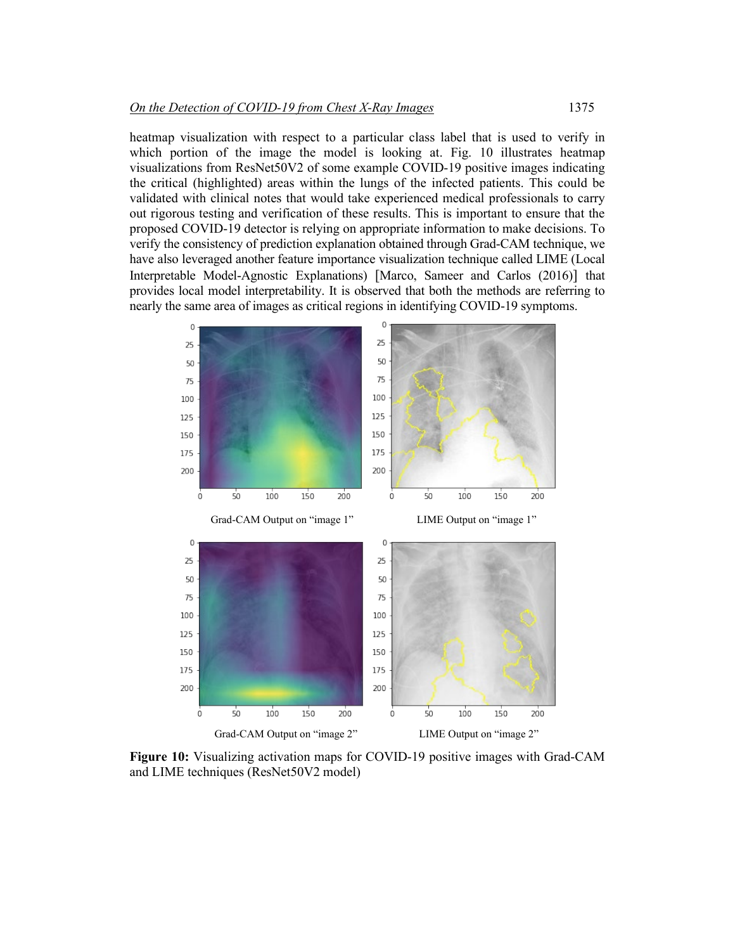heatmap visualization with respect to a particular class label that is used to verify in which portion of the image the model is looking at. Fig. 10 illustrates heatmap visualizations from ResNet50V2 of some example COVID-19 positive images indicating the critical (highlighted) areas within the lungs of the infected patients. This could be validated with clinical notes that would take experienced medical professionals to carry out rigorous testing and verification of these results. This is important to ensure that the proposed COVID-19 detector is relying on appropriate information to make decisions. To verify the consistency of prediction explanation obtained through Grad-CAM technique, we have also leveraged another feature importance visualization technique called LIME (Local Interpretable Model-Agnostic Explanations) [Marco, Sameer and Carlos (2016)] that provides local model interpretability. It is observed that both the methods are referring to nearly the same area of images as critical regions in identifying COVID-19 symptoms.



**Figure 10:** Visualizing activation maps for COVID-19 positive images with Grad-CAM and LIME techniques (ResNet50V2 model)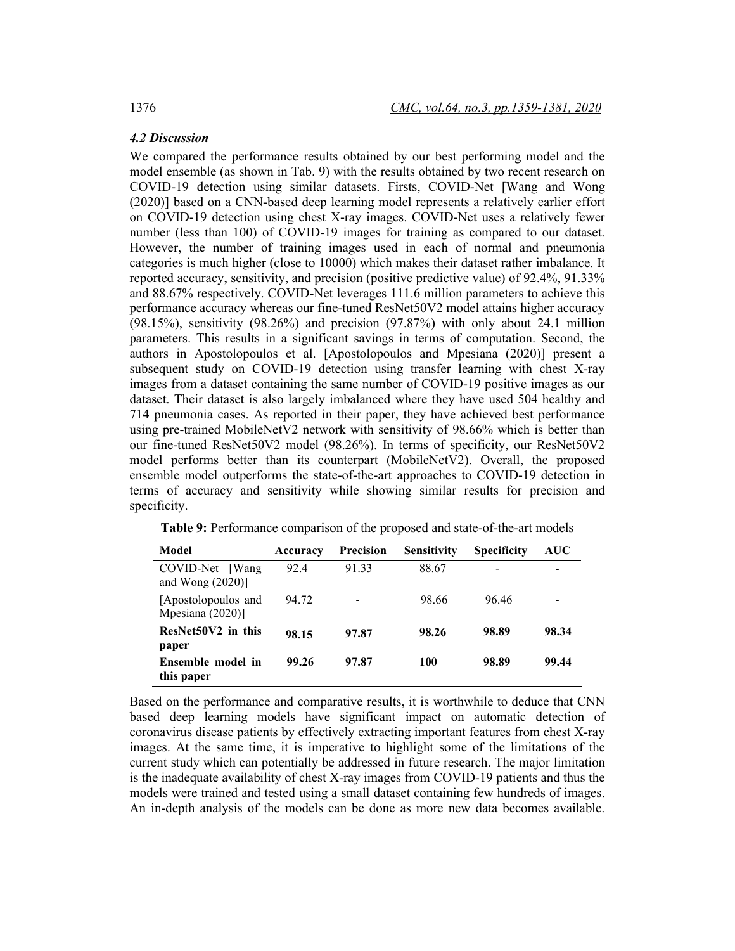# *4.2 Discussion*

We compared the performance results obtained by our best performing model and the model ensemble (as shown in Tab. 9) with the results obtained by two recent research on COVID-19 detection using similar datasets. Firsts, COVID-Net [Wang and Wong (2020)] based on a CNN-based deep learning model represents a relatively earlier effort on COVID-19 detection using chest X-ray images. COVID-Net uses a relatively fewer number (less than 100) of COVID-19 images for training as compared to our dataset. However, the number of training images used in each of normal and pneumonia categories is much higher (close to 10000) which makes their dataset rather imbalance. It reported accuracy, sensitivity, and precision (positive predictive value) of 92.4%, 91.33% and 88.67% respectively. COVID-Net leverages 111.6 million parameters to achieve this performance accuracy whereas our fine-tuned ResNet50V2 model attains higher accuracy (98.15%), sensitivity (98.26%) and precision (97.87%) with only about 24.1 million parameters. This results in a significant savings in terms of computation. Second, the authors in Apostolopoulos et al. [Apostolopoulos and Mpesiana (2020)] present a subsequent study on COVID-19 detection using transfer learning with chest X-ray images from a dataset containing the same number of COVID-19 positive images as our dataset. Their dataset is also largely imbalanced where they have used 504 healthy and 714 pneumonia cases. As reported in their paper, they have achieved best performance using pre-trained MobileNetV2 network with sensitivity of 98.66% which is better than our fine-tuned ResNet50V2 model (98.26%). In terms of specificity, our ResNet50V2 model performs better than its counterpart (MobileNetV2). Overall, the proposed ensemble model outperforms the state-of-the-art approaches to COVID-19 detection in terms of accuracy and sensitivity while showing similar results for precision and specificity.

| Model                                           | Accuracy | <b>Precision</b> | <b>Sensitivity</b> | <b>Specificity</b>       | AUC   |
|-------------------------------------------------|----------|------------------|--------------------|--------------------------|-------|
| COVID-Net<br><b>Wang</b><br>and Wong $(2020)$ ] | 92.4     | 91 33            | 88.67              | $\overline{\phantom{0}}$ |       |
| [Apostolopoulos and<br>Mpesiana (2020)]         | 94.72    | ٠                | 98.66              | 96.46                    |       |
| ResNet50V2 in this<br>paper                     | 98.15    | 97.87            | 98.26              | 98.89                    | 98.34 |
| Ensemble model in<br>this paper                 | 99.26    | 97.87            | 100                | 98.89                    | 99.44 |

**Table 9:** Performance comparison of the proposed and state-of-the-art models

Based on the performance and comparative results, it is worthwhile to deduce that CNN based deep learning models have significant impact on automatic detection of coronavirus disease patients by effectively extracting important features from chest X-ray images. At the same time, it is imperative to highlight some of the limitations of the current study which can potentially be addressed in future research. The major limitation is the inadequate availability of chest X-ray images from COVID-19 patients and thus the models were trained and tested using a small dataset containing few hundreds of images. An in-depth analysis of the models can be done as more new data becomes available.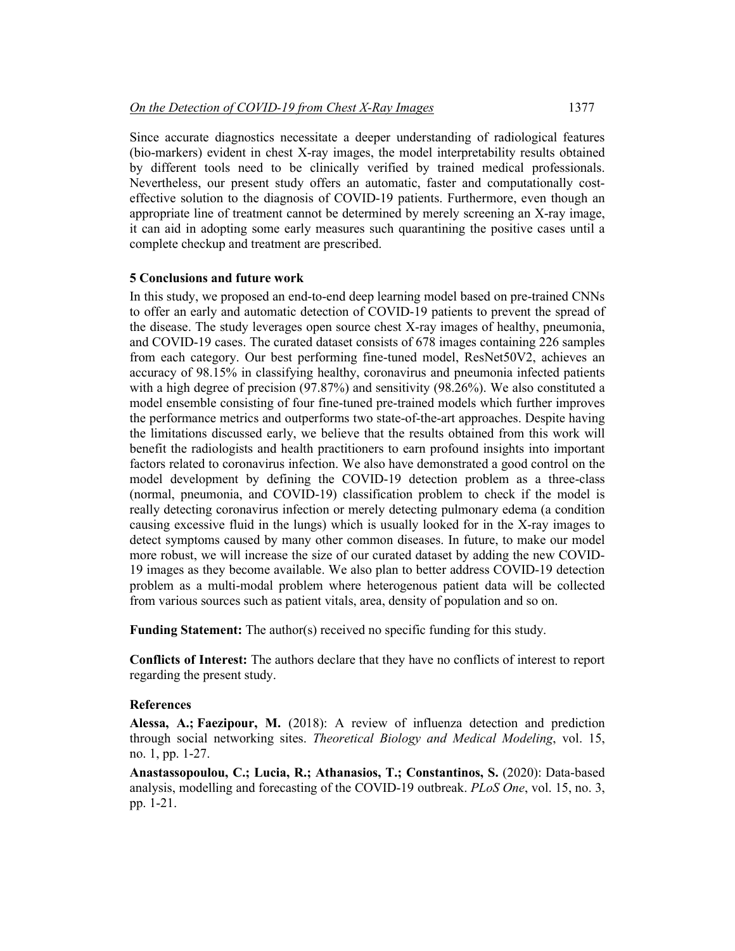Since accurate diagnostics necessitate a deeper understanding of radiological features (bio-markers) evident in chest X-ray images, the model interpretability results obtained by different tools need to be clinically verified by trained medical professionals. Nevertheless, our present study offers an automatic, faster and computationally costeffective solution to the diagnosis of COVID-19 patients. Furthermore, even though an appropriate line of treatment cannot be determined by merely screening an X-ray image, it can aid in adopting some early measures such quarantining the positive cases until a complete checkup and treatment are prescribed.

#### **5 Conclusions and future work**

In this study, we proposed an end-to-end deep learning model based on pre-trained CNNs to offer an early and automatic detection of COVID-19 patients to prevent the spread of the disease. The study leverages open source chest X-ray images of healthy, pneumonia, and COVID-19 cases. The curated dataset consists of 678 images containing 226 samples from each category. Our best performing fine-tuned model, ResNet50V2, achieves an accuracy of 98.15% in classifying healthy, coronavirus and pneumonia infected patients with a high degree of precision (97.87%) and sensitivity (98.26%). We also constituted a model ensemble consisting of four fine-tuned pre-trained models which further improves the performance metrics and outperforms two state-of-the-art approaches. Despite having the limitations discussed early, we believe that the results obtained from this work will benefit the radiologists and health practitioners to earn profound insights into important factors related to coronavirus infection. We also have demonstrated a good control on the model development by defining the COVID-19 detection problem as a three-class (normal, pneumonia, and COVID-19) classification problem to check if the model is really detecting coronavirus infection or merely detecting pulmonary edema (a condition causing excessive fluid in the lungs) which is usually looked for in the X-ray images to detect symptoms caused by many other common diseases. In future, to make our model more robust, we will increase the size of our curated dataset by adding the new COVID-19 images as they become available. We also plan to better address COVID-19 detection problem as a multi-modal problem where heterogenous patient data will be collected from various sources such as patient vitals, area, density of population and so on.

**Funding Statement:** The author(s) received no specific funding for this study.

**Conflicts of Interest:** The authors declare that they have no conflicts of interest to report regarding the present study.

#### **References**

**Alessa, A.; Faezipour, M.** (2018): A review of influenza detection and prediction through social networking sites. *Theoretical Biology and Medical Modeling*, vol. 15, no. 1, pp. 1-27.

**Anastassopoulou, C.; Lucia, R.; Athanasios, T.; Constantinos, S.** (2020): Data-based analysis, modelling and forecasting of the COVID-19 outbreak. *PLoS One*, vol. 15, no. 3, pp. 1-21.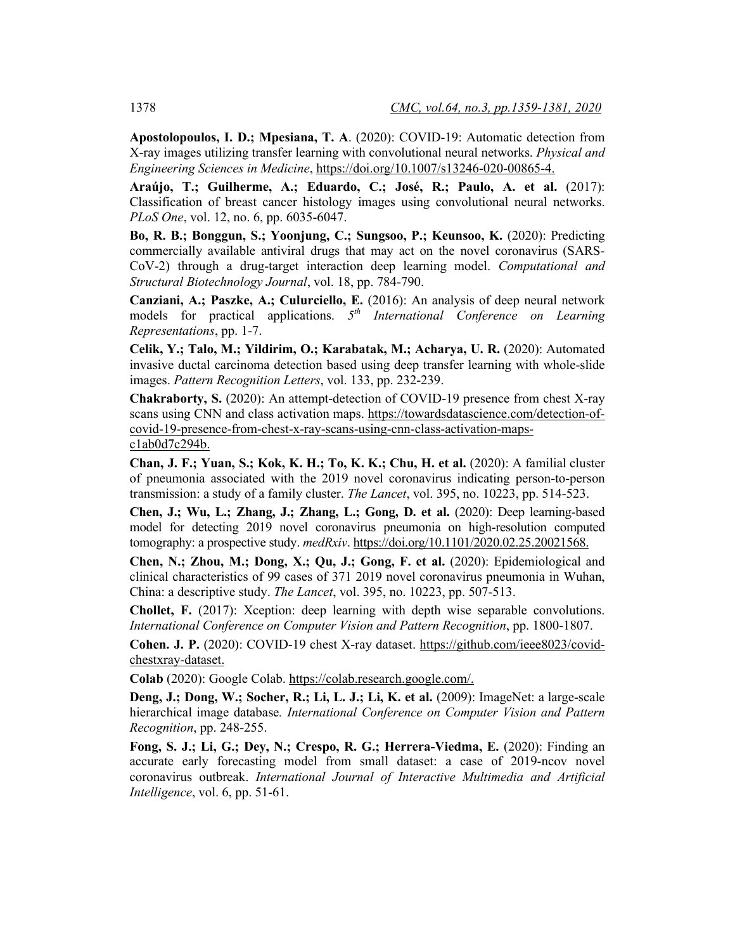**Apostolopoulos, I. D.; Mpesiana, T. A**. (2020): COVID-19: Automatic detection from X-ray images utilizing transfer learning with convolutional neural networks. *Physical and Engineering Sciences in Medicine*, https://doi.org/10.1007/s13246-020-00865-4.

**Araújo, T.; Guilherme, A.; Eduardo, C.; José, R.; Paulo, A. et al.** (2017): Classification of breast cancer histology images using convolutional neural networks. *PLoS One*, vol. 12, no. 6, pp. 6035-6047.

**Bo, R. B.; Bonggun, S.; Yoonjung, C.; Sungsoo, P.; Keunsoo, K.** (2020): Predicting commercially available antiviral drugs that may act on the novel coronavirus (SARS-CoV-2) through a drug-target interaction deep learning model. *Computational and Structural Biotechnology Journal*, vol. 18, pp. 784-790.

**Canziani, A.; Paszke, A.; Culurciello, E.** (2016): An analysis of deep neural network models for practical applications. *5th International Conference on Learning Representations*, pp. 1-7.

**Celik, Y.; Talo, M.; Yildirim, O.; Karabatak, M.; Acharya, U. R.** (2020): Automated invasive ductal carcinoma detection based using deep transfer learning with whole-slide images. *Pattern Recognition Letters*, vol. 133, pp. 232-239.

**Chakraborty, S.** (2020): An attempt-detection of COVID-19 presence from chest X-ray scans using CNN and class activation maps. https://towardsdatascience.com/detection-ofcovid-19-presence-from-chest-x-ray-scans-using-cnn-class-activation-mapsc1ab0d7c294b.

**Chan, J. F.; Yuan, S.; Kok, K. H.; To, K. K.; Chu, H. et al.** (2020): A familial cluster of pneumonia associated with the 2019 novel coronavirus indicating person-to-person transmission: a study of a family cluster. *The Lancet*, vol. 395, no. 10223, pp. 514-523.

**Chen, J.; Wu, L.; Zhang, J.; Zhang, L.; Gong, D. et al.** (2020): Deep learning-based model for detecting 2019 novel coronavirus pneumonia on high-resolution computed tomography: a prospective study. *medRxiv*. https://doi.org/10.1101/2020.02.25.20021568.

**Chen, N.; Zhou, M.; Dong, X.; Qu, J.; Gong, F. et al.** (2020): Epidemiological and clinical characteristics of 99 cases of 371 2019 novel coronavirus pneumonia in Wuhan, China: a descriptive study. *The Lancet*, vol. 395, no. 10223, pp. 507-513.

**Chollet, F.** (2017): Xception: deep learning with depth wise separable convolutions. *International Conference on Computer Vision and Pattern Recognition*, pp. 1800-1807.

**Cohen. J. P.** (2020): COVID-19 chest X-ray dataset. https://github.com/ieee8023/covidchestxray-dataset.

**Colab** (2020): Google Colab. https://colab.research.google.com/.

**Deng, J.; Dong, W.; Socher, R.; Li, L. J.; Li, K. et al.** (2009): ImageNet: a large-scale hierarchical image database*. International Conference on Computer Vision and Pattern Recognition*, pp. 248-255.

**Fong, S. J.; Li, G.; Dey, N.; Crespo, R. G.; Herrera-Viedma, E.** (2020): Finding an accurate early forecasting model from small dataset: a case of 2019-ncov novel coronavirus outbreak. *International Journal of Interactive Multimedia and Artificial Intelligence*, vol. 6, pp. 51-61.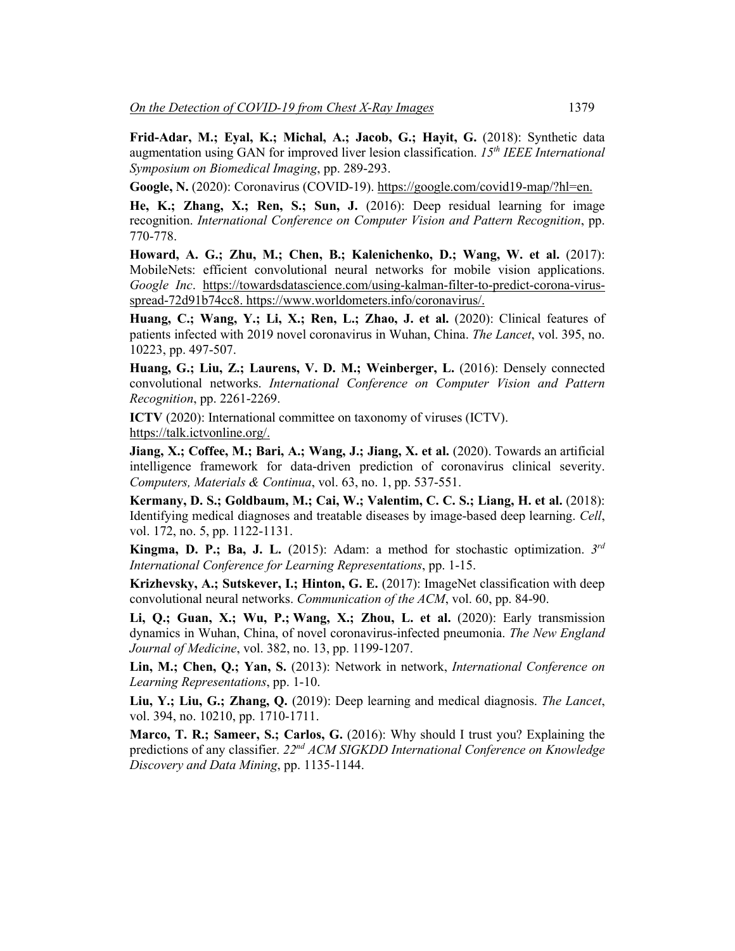**Frid-Adar, M.; Eyal, K.; Michal, A.; Jacob, G.; Hayit, G.** (2018): Synthetic data augmentation using GAN for improved liver lesion classification. *15th IEEE International Symposium on Biomedical Imaging*, pp. 289-293.

**Google, N.** (2020): Coronavirus (COVID-19). https://google.com/covid19-map/?hl=en.

**He, K.; Zhang, X.; Ren, S.; Sun, J.** (2016): Deep residual learning for image recognition. *International Conference on Computer Vision and Pattern Recognition*, pp. 770-778.

**Howard, A. G.; Zhu, M.; Chen, B.; Kalenichenko, D.; Wang, W. et al.** (2017): MobileNets: efficient convolutional neural networks for mobile vision applications. *Google Inc*. https://towardsdatascience.com/using-kalman-filter-to-predict-corona-virusspread-72d91b74cc8. https://www.worldometers.info/coronavirus/.

**Huang, C.; Wang, Y.; Li, X.; Ren, L.; Zhao, J. et al.** (2020): Clinical features of patients infected with 2019 novel coronavirus in Wuhan, China. *The Lancet*, vol. 395, no. 10223, pp. 497-507.

**Huang, G.; Liu, Z.; Laurens, V. D. M.; Weinberger, L.** (2016): Densely connected convolutional networks. *International Conference on Computer Vision and Pattern Recognition*, pp. 2261-2269.

**ICTV** (2020): International committee on taxonomy of viruses (ICTV). https://talk.ictvonline.org/.

**Jiang, X.; Coffee, M.; Bari, A.; Wang, J.; Jiang, X. et al.** (2020). Towards an artificial intelligence framework for data-driven prediction of coronavirus clinical severity. *Computers, Materials & Continua*, vol. 63, no. 1, pp. 537-551.

**Kermany, D. S.; Goldbaum, M.; Cai, W.; Valentim, C. C. S.; Liang, H. et al.** (2018): Identifying medical diagnoses and treatable diseases by image-based deep learning. *Cell*, vol. 172, no. 5, pp. 1122-1131.

**Kingma, D. P.; Ba, J. L.** (2015): Adam: a method for stochastic optimization. *3rd International Conference for Learning Representations*, pp. 1-15.

**Krizhevsky, A.; Sutskever, I.; Hinton, G. E.** (2017): ImageNet classification with deep convolutional neural networks. *Communication of the ACM*, vol. 60, pp. 84-90.

**Li, Q.; Guan, X.; Wu, P.; Wang, X.; Zhou, L. et al.** (2020): Early transmission dynamics in Wuhan, China, of novel coronavirus-infected pneumonia. *The New England Journal of Medicine*, vol. 382, no. 13, pp. 1199-1207.

**Lin, M.; Chen, Q.; Yan, S.** (2013): Network in network, *International Conference on Learning Representations*, pp. 1-10.

**Liu, Y.; Liu, G.; Zhang, Q.** (2019): Deep learning and medical diagnosis. *The Lancet*, vol. 394, no. 10210, pp. 1710-1711.

**Marco, T. R.; Sameer, S.; Carlos, G.** (2016): Why should I trust you? Explaining the predictions of any classifier. *22nd ACM SIGKDD International Conference on Knowledge Discovery and Data Mining*, pp. 1135-1144.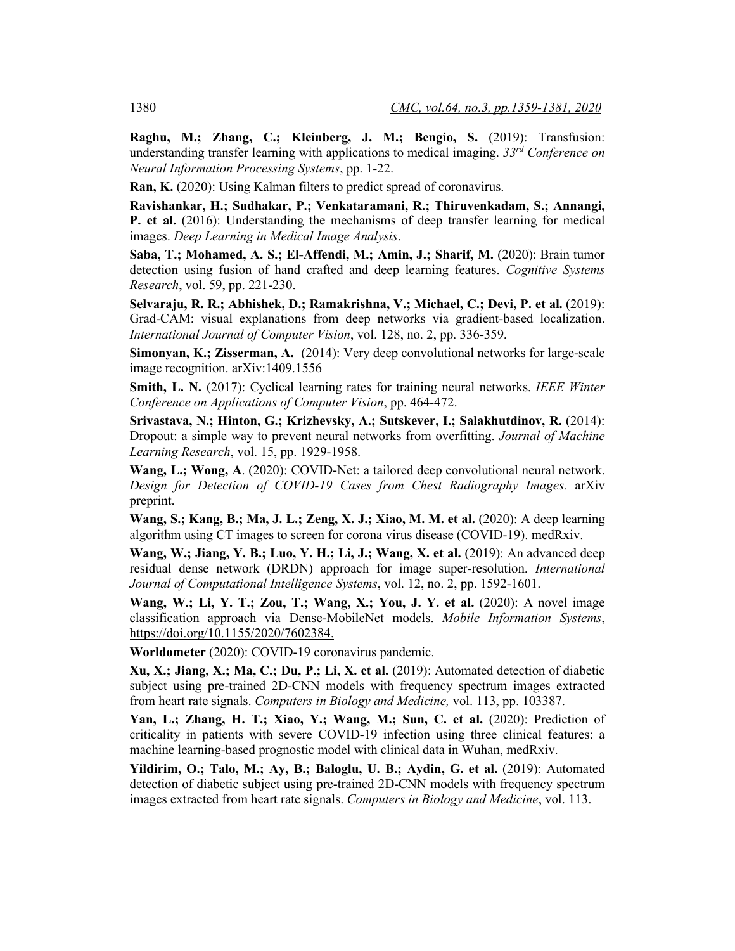**Raghu, M.; Zhang, C.; Kleinberg, J. M.; Bengio, S.** (2019): Transfusion: understanding transfer learning with applications to medical imaging. *33rd Conference on Neural Information Processing Systems*, pp. 1-22.

**Ran, K.** (2020): Using Kalman filters to predict spread of coronavirus.

**Ravishankar, H.; Sudhakar, P.; Venkataramani, R.; Thiruvenkadam, S.; Annangi, P. et al.** (2016): Understanding the mechanisms of deep transfer learning for medical images. *Deep Learning in Medical Image Analysis*.

Saba, T.; Mohamed, A. S.; El-Affendi, M.; Amin, J.; Sharif, M. (2020): Brain tumor detection using fusion of hand crafted and deep learning features. *Cognitive Systems Research*, vol. 59, pp. 221-230.

**Selvaraju, R. R.; Abhishek, D.; Ramakrishna, V.; Michael, C.; Devi, P. et al.** (2019): Grad-CAM: visual explanations from deep networks via gradient-based localization. *International Journal of Computer Vision*, vol. 128, no. 2, pp. 336-359.

**Simonyan, K.; Zisserman, A.** (2014): Very deep convolutional networks for large-scale image recognition. arXiv:1409.1556

**Smith, L. N.** (2017): Cyclical learning rates for training neural networks. *IEEE Winter Conference on Applications of Computer Vision*, pp. 464-472.

**Srivastava, N.; Hinton, G.; Krizhevsky, A.; Sutskever, I.; Salakhutdinov, R.** (2014): Dropout: a simple way to prevent neural networks from overfitting. *Journal of Machine Learning Research*, vol. 15, pp. 1929-1958.

**Wang, L.; Wong, A**. (2020): COVID-Net: a tailored deep convolutional neural network. *Design for Detection of COVID-19 Cases from Chest Radiography Images.* arXiv preprint.

**Wang, S.; Kang, B.; Ma, J. L.; Zeng, X. J.; Xiao, M. M. et al.** (2020): A deep learning algorithm using CT images to screen for corona virus disease (COVID-19). medRxiv.

**Wang, W.; Jiang, Y. B.; Luo, Y. H.; Li, J.; Wang, X. et al.** (2019): An advanced deep residual dense network (DRDN) approach for image super-resolution. *International Journal of Computational Intelligence Systems*, vol. 12, no. 2, pp. 1592-1601.

**Wang, W.; Li, Y. T.; Zou, T.; Wang, X.; You, J. Y. et al.** (2020): A novel image classification approach via Dense-MobileNet models. *Mobile Information Systems*, https://doi.org/10.1155/2020/7602384.

**Worldometer** (2020): COVID-19 coronavirus pandemic.

**Xu, X.; Jiang, X.; Ma, C.; Du, P.; Li, X. et al.** (2019): Automated detection of diabetic subject using pre-trained 2D-CNN models with frequency spectrum images extracted from heart rate signals. *Computers in Biology and Medicine,* vol. 113, pp. 103387.

**Yan, L.; Zhang, H. T.; Xiao, Y.; Wang, M.; Sun, C. et al.** (2020): Prediction of criticality in patients with severe COVID-19 infection using three clinical features: a machine learning-based prognostic model with clinical data in Wuhan, medRxiv.

**Yildirim, O.; Talo, M.; Ay, B.; Baloglu, U. B.; Aydin, G. et al.** (2019): Automated detection of diabetic subject using pre-trained 2D-CNN models with frequency spectrum images extracted from heart rate signals. *Computers in Biology and Medicine*, vol. 113.